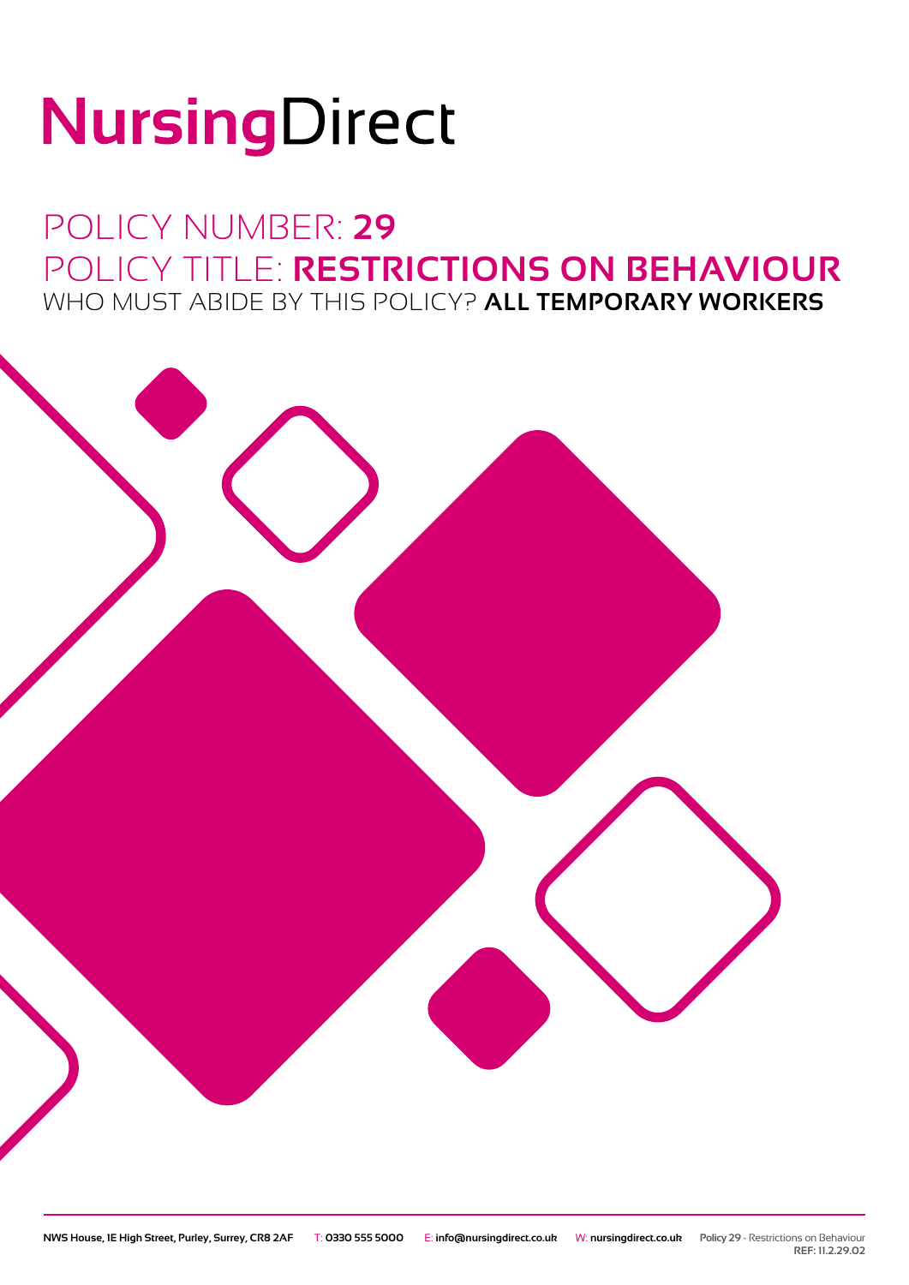# NursingDirect

## POLICY NUMBER: **29** POLICY TITLE: **RESTRICTIONS ON BEHAVIOUR** WHO MUST ABIDE BY THIS POLICY? **ALL TEMPORARY WORKERS**



**REF: 11.2.29.02**